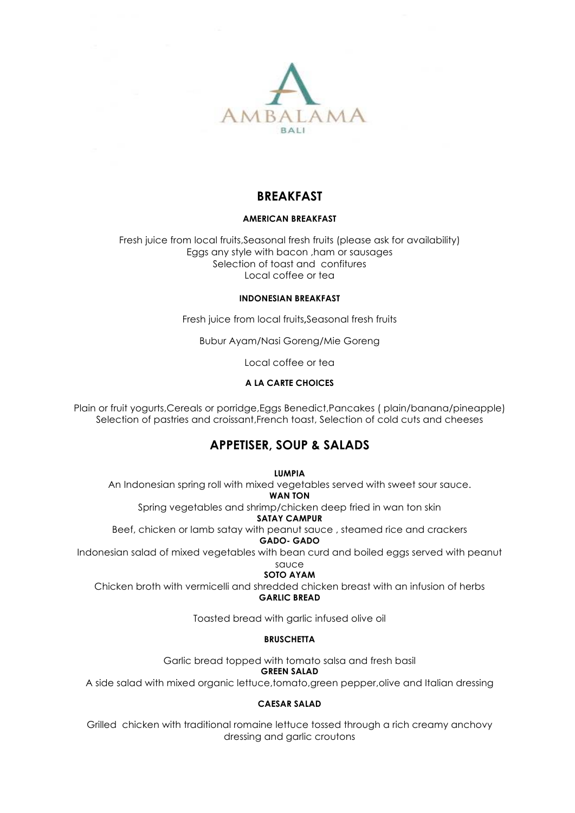

# **BREAKFAST**

# **AMERICAN BREAKFAST**

Fresh juice from local fruits,Seasonal fresh fruits (please ask for availability) Eggs any style with bacon ,ham or sausages Selection of toast and confitures Local coffee or tea

### **INDONESIAN BREAKFAST**

Fresh juice from local fruits**,**Seasonal fresh fruits

Bubur Ayam/Nasi Goreng/Mie Goreng

Local coffee or tea

# **A LA CARTE CHOICES**

Plain or fruit yogurts,Cereals or porridge,Eggs Benedict,Pancakes ( plain/banana/pineapple) Selection of pastries and croissant,French toast, Selection of cold cuts and cheeses

# **APPETISER, SOUP & SALADS**

**LUMPIA**

An Indonesian spring roll with mixed vegetables served with sweet sour sauce.

**WAN TON**

Spring vegetables and shrimp/chicken deep fried in wan ton skin

**SATAY CAMPUR**

Beef, chicken or lamb satay with peanut sauce , steamed rice and crackers **GADO- GADO**

Indonesian salad of mixed vegetables with bean curd and boiled eggs served with peanut sauce

# **SOTO AYAM**

Chicken broth with vermicelli and shredded chicken breast with an infusion of herbs **GARLIC BREAD**

Toasted bread with garlic infused olive oil

# **BRUSCHETTA**

Garlic bread topped with tomato salsa and fresh basil

### **GREEN SALAD**

A side salad with mixed organic lettuce,tomato,green pepper,olive and Italian dressing

# **CAESAR SALAD**

Grilled chicken with traditional romaine lettuce tossed through a rich creamy anchovy dressing and garlic croutons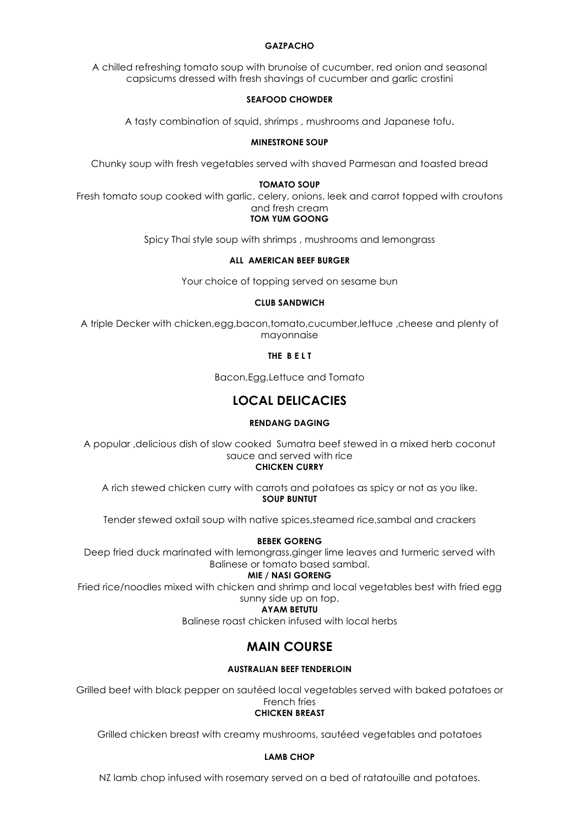## **GAZPACHO**

A chilled refreshing tomato soup with brunoise of cucumber, red onion and seasonal capsicums dressed with fresh shavings of cucumber and garlic crostini

### **SEAFOOD CHOWDER**

A tasty combination of squid, shrimps , mushrooms and Japanese tofu.

### **MINESTRONE SOUP**

Chunky soup with fresh vegetables served with shaved Parmesan and toasted bread

#### **TOMATO SOUP**

Fresh tomato soup cooked with garlic, celery, onions, leek and carrot topped with croutons and fresh cream

### **TOM YUM GOONG**

Spicy Thai style soup with shrimps , mushrooms and lemongrass

### **ALL AMERICAN BEEF BURGER**

Your choice of topping served on sesame bun

### **CLUB SANDWICH**

A triple Decker with chicken,egg,bacon,tomato,cucumber,lettuce ,cheese and plenty of mayonnaise

**THE B E L T**

Bacon,Egg,Lettuce and Tomato

# **LOCAL DELICACIES**

### **RENDANG DAGING**

A popular ,delicious dish of slow cooked Sumatra beef stewed in a mixed herb coconut sauce and served with rice

**CHICKEN CURRY**

A rich stewed chicken curry with carrots and potatoes as spicy or not as you like. **SOUP BUNTUT**

Tender stewed oxtail soup with native spices,steamed rice,sambal and crackers

#### **BEBEK GORENG**

Deep fried duck marinated with lemongrass,ginger lime leaves and turmeric served with Balinese or tomato based sambal.

### **MIE / NASI GORENG**

Fried rice/noodles mixed with chicken and shrimp and local vegetables best with fried egg sunny side up on top.

# **AYAM BETUTU**

Balinese roast chicken infused with local herbs

# **MAIN COURSE**

### **AUSTRALIAN BEEF TENDERLOIN**

Grilled beef with black pepper on sautéed local vegetables served with baked potatoes or French fries

# **CHICKEN BREAST**

Grilled chicken breast with creamy mushrooms, sautéed vegetables and potatoes

#### **LAMB CHOP**

NZ lamb chop infused with rosemary served on a bed of ratatouille and potatoes.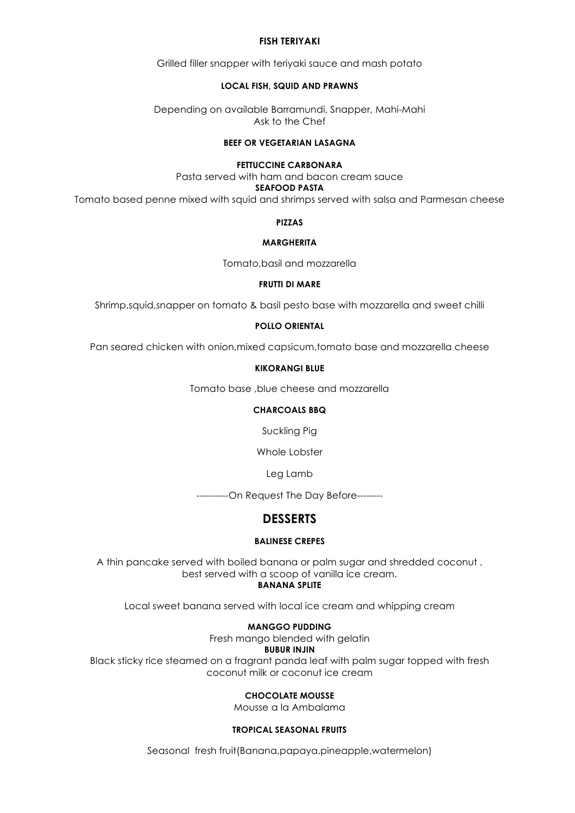### **FISH TERIYAKI**

Grilled filler snapper with teriyaki sauce and mash potato

### **LOCAL FISH, SQUID AND PRAWNS**

Depending on available Barramundi, Snapper, Mahi-Mahi Ask to the Chef

# **BEEF OR VEGETARIAN LASAGNA**

### **FETTUCCINE CARBONARA**

Pasta served with ham and bacon cream sauce **SEAFOOD PASTA**

Tomato based penne mixed with squid and shrimps served with salsa and Parmesan cheese

**PIZZAS**

### **MARGHERITA**

Tomato,basil and mozzarella

### **FRUTTI DI MARE**

Shrimp,squid,snapper on tomato & basil pesto base with mozzarella and sweet chilli

## **POLLO ORIENTAL**

Pan seared chicken with onion,mixed capsicum,tomato base and mozzarella cheese

### **KIKORANGI BLUE**

Tomato base ,blue cheese and mozzarella

### **CHARCOALS BBQ**

Suckling Pig

Whole Lobster

Leg Lamb

----------On Request The Day Before--------

# **DESSERTS**

### **BALINESE CREPES**

A thin pancake served with boiled banana or palm sugar and shredded coconut , best served with a scoop of vanilla ice cream. **BANANA SPLITE**

Local sweet banana served with local ice cream and whipping cream

### **MANGGO PUDDING**

Fresh mango blended with gelatin

#### **BUBUR INJIN**

Black sticky rice steamed on a fragrant panda leaf with palm sugar topped with fresh coconut milk or coconut ice cream

# **CHOCOLATE MOUSSE**

Mousse a la Ambalama

### **TROPICAL SEASONAL FRUITS**

Seasonal fresh fruit(Banana,papaya,pineapple,watermelon)